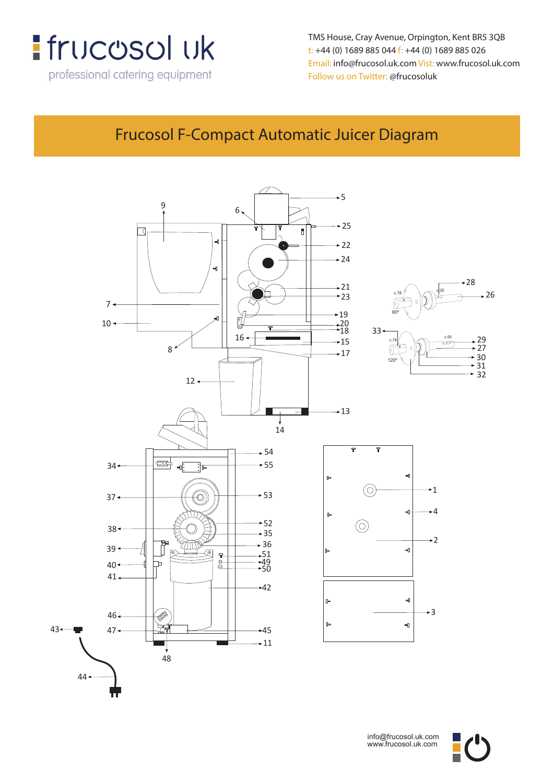

t: +44 (0) 1689 885 044 f: +44 (0) 1689 885 026 Email: info@frucosol.uk.com Vist: www.frucosol.uk.com Follow us on Twitter: @frucosoluk TMS House, Cray Avenue, Orpington, Kent BR5 3QB

#### **Frucosol F-Compact Automatic Juicer Diagram** Frucosol F-Compact Automatic Juicer Diagram



info@frucosol.uk.com www.frucosol.uk.com

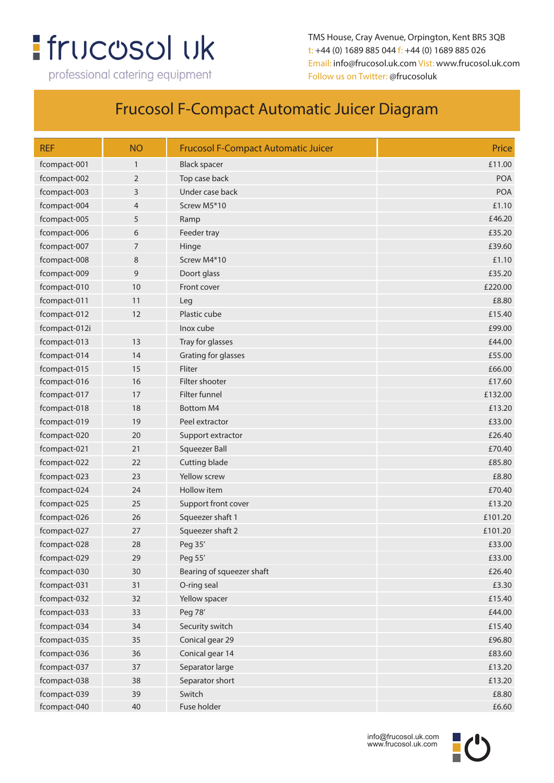## **:** frucosol uk

professional catering equipment

TMS House, Cray Avenue, Orpington, Kent BR5 3QB t: +44 (0) 1689 885 044 f: +44 (0) 1689 885 026 Email: info@frucosol.uk.com Vist: www.frucosol.uk.com Follow us on Twitter: @frucosoluk

#### Frucosol F-Compact Automatic Juicer Diagram

| <b>REF</b>    | <b>NO</b>      | <b>Frucosol F-Compact Automatic Juicer</b> | Price      |
|---------------|----------------|--------------------------------------------|------------|
| fcompact-001  | $\mathbf{1}$   | <b>Black spacer</b>                        | £11.00     |
| fcompact-002  | 2              | Top case back                              | <b>POA</b> |
| fcompact-003  | 3              | Under case back                            | <b>POA</b> |
| fcompact-004  | $\overline{4}$ | Screw M5*10                                | £1.10      |
| fcompact-005  | 5              | Ramp                                       | £46.20     |
| fcompact-006  | 6              | Feeder tray                                | £35.20     |
| fcompact-007  | 7              | Hinge                                      | £39.60     |
| fcompact-008  | 8              | Screw M4*10                                | £1.10      |
| fcompact-009  | 9              | Doort glass                                | £35.20     |
| fcompact-010  | 10             | Front cover                                | £220.00    |
| fcompact-011  | 11             | Leg                                        | £8.80      |
| fcompact-012  | 12             | Plastic cube                               | £15.40     |
| fcompact-012i |                | Inox cube                                  | £99.00     |
| fcompact-013  | 13             | Tray for glasses                           | £44.00     |
| fcompact-014  | 14             | Grating for glasses                        | £55.00     |
| fcompact-015  | 15             | Fliter                                     | £66.00     |
| fcompact-016  | 16             | Filter shooter                             | £17.60     |
| fcompact-017  | 17             | <b>Filter funnel</b>                       | £132.00    |
| fcompact-018  | 18             | <b>Bottom M4</b>                           | £13.20     |
| fcompact-019  | 19             | Peel extractor                             | £33.00     |
| fcompact-020  | 20             | Support extractor                          | £26.40     |
| fcompact-021  | 21             | Squeezer Ball                              | £70.40     |
| fcompact-022  | 22             | <b>Cutting blade</b>                       | £85.80     |
| fcompact-023  | 23             | Yellow screw                               | £8.80      |
| fcompact-024  | 24             | Hollow item                                | £70.40     |
| fcompact-025  | 25             | Support front cover                        | £13.20     |
| fcompact-026  | 26             | Squeezer shaft 1                           | £101.20    |
| fcompact-027  | 27             | Squeezer shaft 2                           | £101.20    |
| fcompact-028  | 28             | Peg 35'                                    | £33.00     |
| fcompact-029  | 29             | Peg 55'                                    | £33.00     |
| fcompact-030  | 30             | Bearing of squeezer shaft                  | £26.40     |
| fcompact-031  | 31             | O-ring seal                                | £3.30      |
| fcompact-032  | 32             | Yellow spacer                              | £15.40     |
| fcompact-033  | 33             | Peg 78'                                    | £44.00     |
| fcompact-034  | 34             | Security switch                            | £15.40     |
| fcompact-035  | 35             | Conical gear 29                            | £96.80     |
| fcompact-036  | 36             | Conical gear 14                            | £83.60     |
| fcompact-037  | 37             | Separator large                            | £13.20     |
| fcompact-038  | 38             | Separator short                            | £13.20     |
| fcompact-039  | 39             | Switch                                     | £8.80      |
| fcompact-040  | 40             | Fuse holder                                | £6.60      |